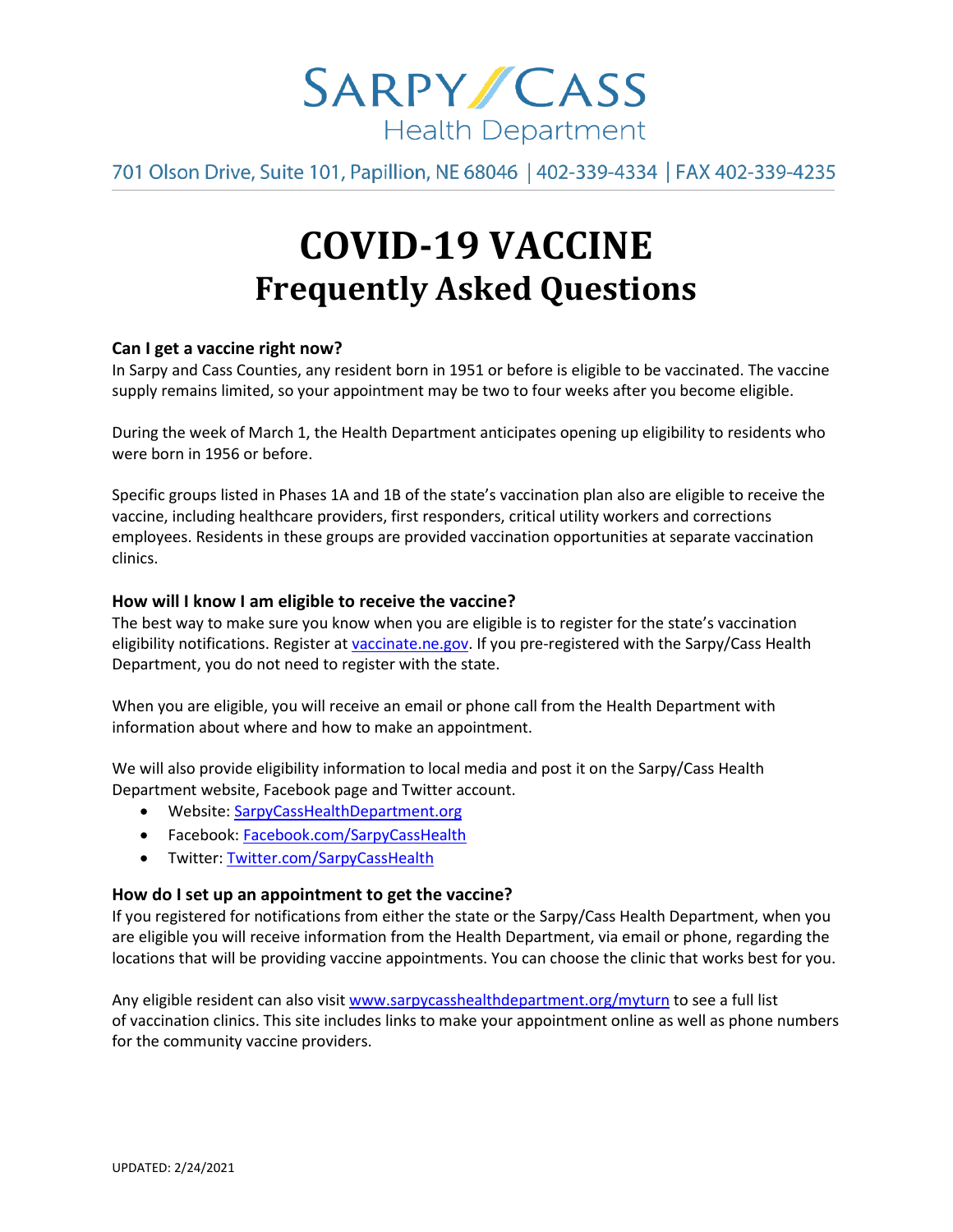

701 Olson Drive, Suite 101, Papillion, NE 68046 | 402-339-4334 | FAX 402-339-4235

# **COVID-19 VACCINE Frequently Asked Questions**

# **Can I get a vaccine right now?**

In Sarpy and Cass Counties, any resident born in 1951 or before is eligible to be vaccinated. The vaccine supply remains limited, so your appointment may be two to four weeks after you become eligible.

During the week of March 1, the Health Department anticipates opening up eligibility to residents who were born in 1956 or before.

Specific groups listed in Phases 1A and 1B of the state's vaccination plan also are eligible to receive the vaccine, including healthcare providers, first responders, critical utility workers and corrections employees. Residents in these groups are provided vaccination opportunities at separate vaccination clinics.

# **How will I know I am eligible to receive the vaccine?**

The best way to make sure you know when you are eligible is to register for the state's vaccination eligibility notifications. Register at [vaccinate.ne.gov.](http://vaccinate.ne.gov/) If you pre-registered with the Sarpy/Cass Health Department, you do not need to register with the state.

When you are eligible, you will receive an email or phone call from the Health Department with information about where and how to make an appointment.

We will also provide eligibility information to local media and post it on the Sarpy/Cass Health Department website, Facebook page and Twitter account.

- Website[: SarpyCassHealthDepartment.org](https://www.sarpycasshealthdepartment.org/)
- Facebook: [Facebook.com/SarpyCassHealth](https://www.facebook.com/SarpyCassHealth)
- Twitter: [Twitter.com/SarpyCassHealth](https://twitter.com/SarpyCassHealth)

## **How do I set up an appointment to get the vaccine?**

If you registered for notifications from either the state or the Sarpy/Cass Health Department, when you are eligible you will receive information from the Health Department, via email or phone, regarding the locations that will be providing vaccine appointments. You can choose the clinic that works best for you.

Any eligible resident can also visi[t www.sarpycasshealthdepartment.org/myturn](http://www.sarpycasshealthdepartment.org/myturn) to see a full list of vaccination clinics. This site includes links to make your appointment online as well as phone numbers for the community vaccine providers.